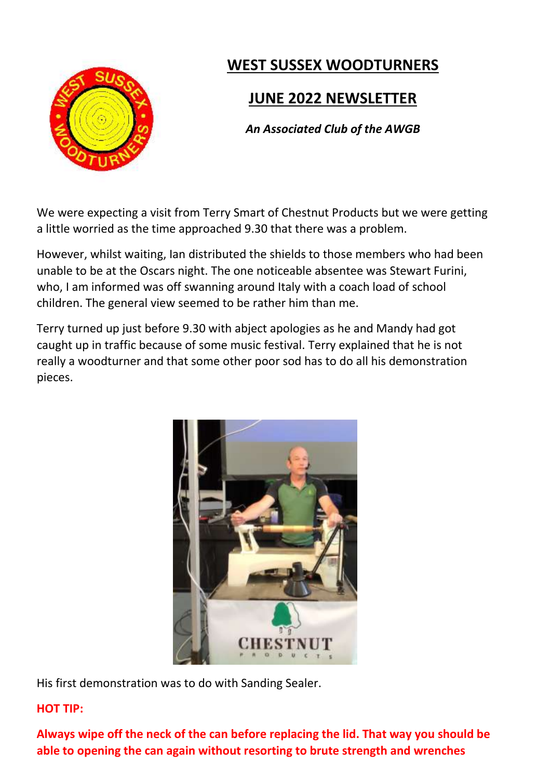

# **WEST SUSSEX WOODTURNERS**

# **JUNE 2022 NEWSLETTER**

*An Associated Club of the AWGB*

We were expecting a visit from Terry Smart of Chestnut Products but we were getting a little worried as the time approached 9.30 that there was a problem.

However, whilst waiting, Ian distributed the shields to those members who had been unable to be at the Oscars night. The one noticeable absentee was Stewart Furini, who, I am informed was off swanning around Italy with a coach load of school children. The general view seemed to be rather him than me.

Terry turned up just before 9.30 with abject apologies as he and Mandy had got caught up in traffic because of some music festival. Terry explained that he is not really a woodturner and that some other poor sod has to do all his demonstration pieces.



His first demonstration was to do with Sanding Sealer.

### **HOT TIP:**

**Always wipe off the neck of the can before replacing the lid. That way you should be able to opening the can again without resorting to brute strength and wrenches**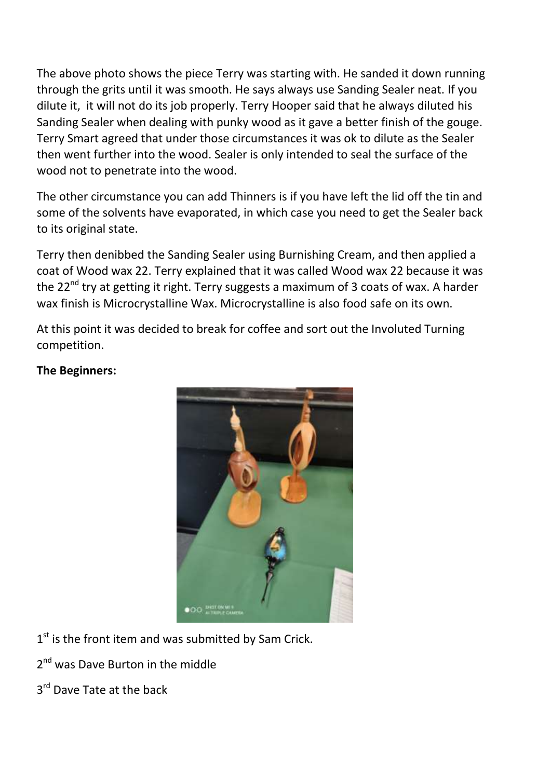The above photo shows the piece Terry was starting with. He sanded it down running through the grits until it was smooth. He says always use Sanding Sealer neat. If you dilute it, it will not do its job properly. Terry Hooper said that he always diluted his Sanding Sealer when dealing with punky wood as it gave a better finish of the gouge. Terry Smart agreed that under those circumstances it was ok to dilute as the Sealer then went further into the wood. Sealer is only intended to seal the surface of the wood not to penetrate into the wood.

The other circumstance you can add Thinners is if you have left the lid off the tin and some of the solvents have evaporated, in which case you need to get the Sealer back to its original state.

Terry then denibbed the Sanding Sealer using Burnishing Cream, and then applied a coat of Wood wax 22. Terry explained that it was called Wood wax 22 because it was the  $22^{nd}$  try at getting it right. Terry suggests a maximum of 3 coats of wax. A harder wax finish is Microcrystalline Wax. Microcrystalline is also food safe on its own.

At this point it was decided to break for coffee and sort out the Involuted Turning competition.

#### **The Beginners:**



1<sup>st</sup> is the front item and was submitted by Sam Crick.

- 2<sup>nd</sup> was Dave Burton in the middle
- 3<sup>rd</sup> Dave Tate at the back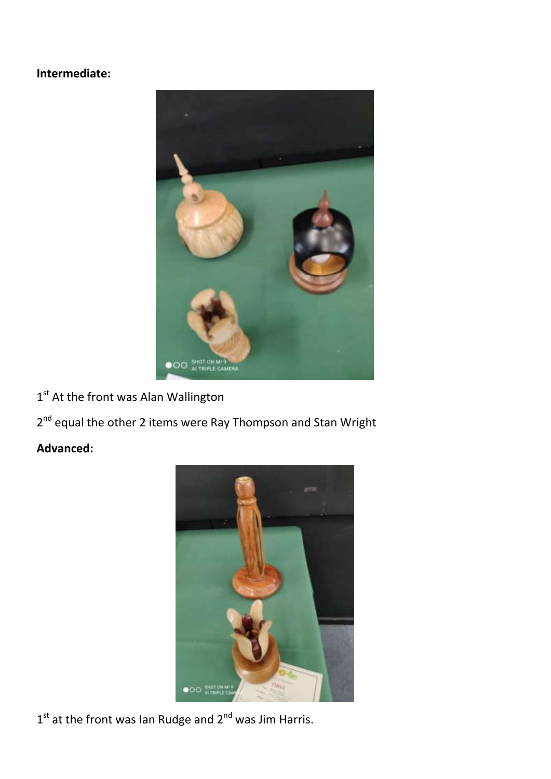### **Intermediate:**



1<sup>st</sup> At the front was Alan Wallington

2<sup>nd</sup> equal the other 2 items were Ray Thompson and Stan Wright

### **Advanced:**



 $1<sup>st</sup>$  at the front was Ian Rudge and  $2<sup>nd</sup>$  was Jim Harris.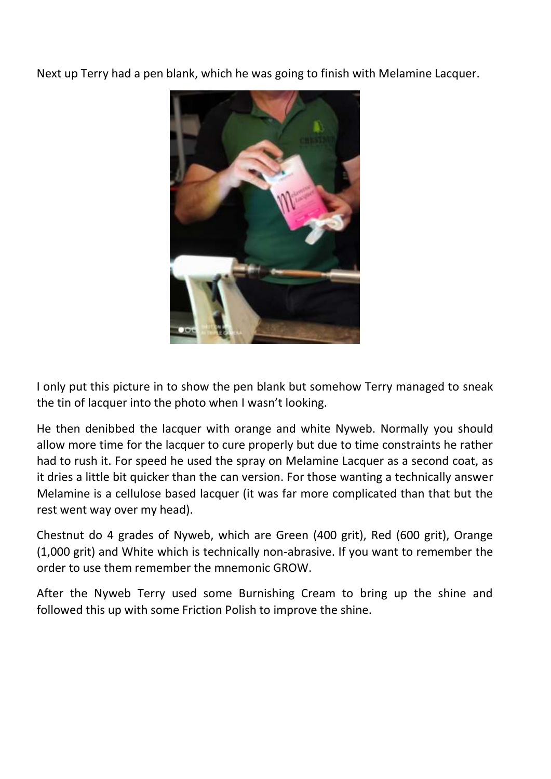Next up Terry had a pen blank, which he was going to finish with Melamine Lacquer.



I only put this picture in to show the pen blank but somehow Terry managed to sneak the tin of lacquer into the photo when I wasn't looking.

He then denibbed the lacquer with orange and white Nyweb. Normally you should allow more time for the lacquer to cure properly but due to time constraints he rather had to rush it. For speed he used the spray on Melamine Lacquer as a second coat, as it dries a little bit quicker than the can version. For those wanting a technically answer Melamine is a cellulose based lacquer (it was far more complicated than that but the rest went way over my head).

Chestnut do 4 grades of Nyweb, which are Green (400 grit), Red (600 grit), Orange (1,000 grit) and White which is technically non-abrasive. If you want to remember the order to use them remember the mnemonic GROW.

After the Nyweb Terry used some Burnishing Cream to bring up the shine and followed this up with some Friction Polish to improve the shine.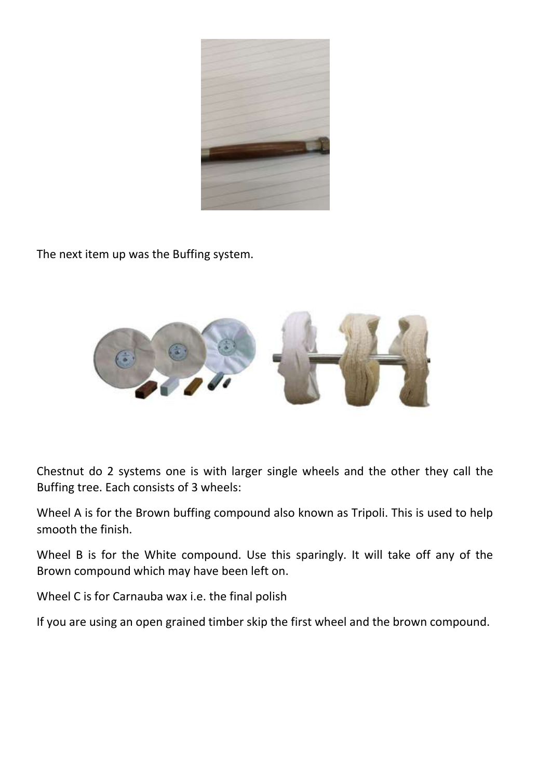

The next item up was the Buffing system.



Chestnut do 2 systems one is with larger single wheels and the other they call the Buffing tree. Each consists of 3 wheels:

Wheel A is for the Brown buffing compound also known as Tripoli. This is used to help smooth the finish.

Wheel B is for the White compound. Use this sparingly. It will take off any of the Brown compound which may have been left on.

Wheel C is for Carnauba wax i.e. the final polish

If you are using an open grained timber skip the first wheel and the brown compound.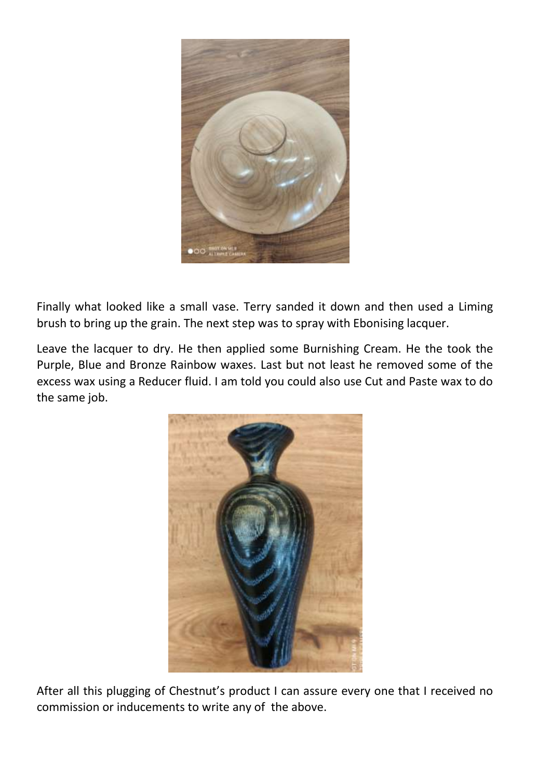

Finally what looked like a small vase. Terry sanded it down and then used a Liming brush to bring up the grain. The next step was to spray with Ebonising lacquer.

Leave the lacquer to dry. He then applied some Burnishing Cream. He the took the Purple, Blue and Bronze Rainbow waxes. Last but not least he removed some of the excess wax using a Reducer fluid. I am told you could also use Cut and Paste wax to do the same job.



After all this plugging of Chestnut's product I can assure every one that I received no commission or inducements to write any of the above.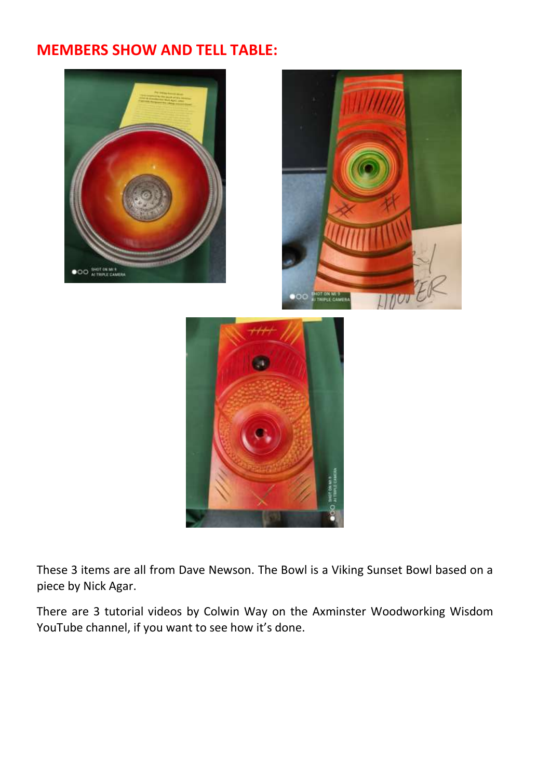## **MEMBERS SHOW AND TELL TABLE:**



These 3 items are all from Dave Newson. The Bowl is a Viking Sunset Bowl based on a piece by Nick Agar.

There are 3 tutorial videos by Colwin Way on the Axminster Woodworking Wisdom YouTube channel, if you want to see how it's done.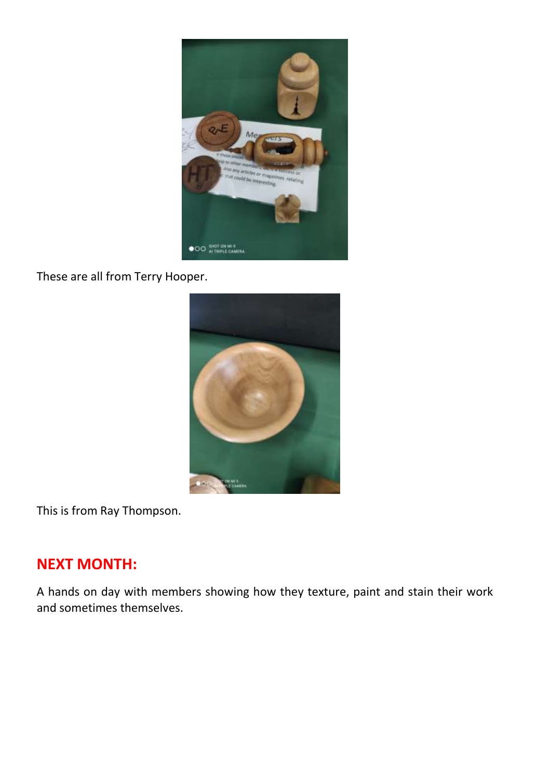

These are all from Terry Hooper.



This is from Ray Thompson.

## **NEXT MONTH:**

A hands on day with members showing how they texture, paint and stain their work and sometimes themselves.